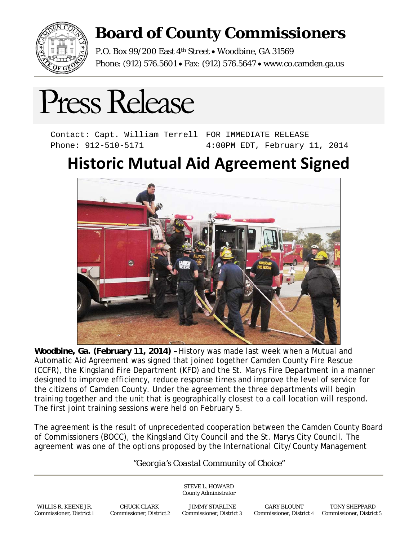

## **Board of County Commissioners**

P.O. Box 99/200 East 4<sup>th</sup> Street . Woodbine, GA 31569 Phone: (912) 576.5601 • Fax: (912) 576.5647 • www.co.camden.ga.us

## Press Release

Contact: Capt. William Terrell FOR IMMEDIATE RELEASE Phone: 912-510-5171 4:00PM EDT, February 11, 2014

## **Historic Mutual Aid Agreement Signed**



**Woodbine, Ga. (February 11, 2014) –** History was made last week when a Mutual and Automatic Aid Agreement was signed that joined together Camden County Fire Rescue (CCFR), the Kingsland Fire Department (KFD) and the St. Marys Fire Department in a manner designed to improve efficiency, reduce response times and improve the level of service for the citizens of Camden County. Under the agreement the three departments will begin training together and the unit that is geographically closest to a call location will respond. The first joint training sessions were held on February 5.

The agreement is the result of unprecedented cooperation between the Camden County Board of Commissioners (BOCC), the Kingsland City Council and the St. Marys City Council. The agreement was one of the options proposed by the International City/County Management

## *"Georgia's Coastal Community of Choice"*

STEVE L. HOWARD County Administrator

WILLIS R. KEENE JR. CHUCK CLARK JIMMY STARLINE GARY BLOUNT TONY SHEPPARD